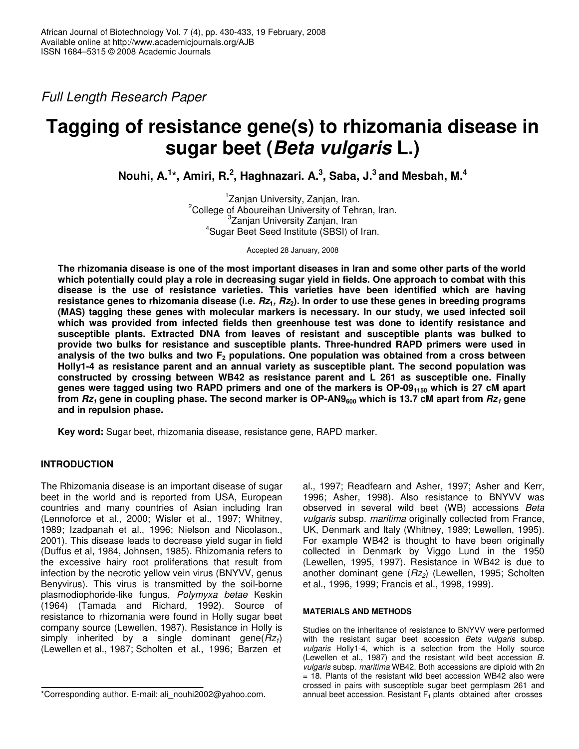*Full Length Research Paper*

# **Tagging of resistance gene(s) to rhizomania disease in sugar beet (***Beta vulgaris* **L.)**

**Nouhi, A. 1 \*, Amiri, R. 2 , Haghnazari. A. 3 , Saba, J. 3 and Mesbah, M. 4**

<sup>1</sup>Zanjan University, Zanjan, Iran. <sup>2</sup>College of Aboureihan University of Tehran, Iran. <sup>3</sup>Zanjan University Zanjan, Iran 4 Sugar Beet Seed Institute (SBSI) of Iran.

Accepted 28 January, 2008

The rhizomania disease is one of the most important diseases in Iran and some other parts of the world which potentially could play a role in decreasing sugar yield in fields. One approach to combat with this **disease is the use of resistance varieties. This varieties have been identified which are having** resistance genes to rhizomania disease (i.e.  $Rz_1$ ,  $Rz_2$ ). In order to use these genes in breeding programs **(MAS) tagging these genes with molecular markers is necessary. In our study, we used infected soil which was provided from infected fields then greenhouse test was done to identify resistance and susceptible plants. Extracted DNA from leaves of resistant and susceptible plants was bulked to provide two bulks for resistance and susceptible plants. Three-hundred RAPD primers were used in analysis of the two bulks and two F<sup>2</sup> populations. One population was obtained from a cross between Holly1-4 as resistance parent and an annual variety as susceptible plant. The second population was constructed by crossing between WB42 as resistance parent and L 261 as susceptible one. Finally** genes were tagged using two RAPD primers and one of the markers is OP-09<sub>1150</sub> which is 27 cM apart from  $Rz_1$  gene in coupling phase. The second marker is OP-AN9<sub>600</sub> which is 13.7 cM apart from  $Rz_1$  gene **and in repulsion phase.**

**Key word:** Sugar beet, rhizomania disease, resistance gene, RAPD marker.

# **INTRODUCTION**

The Rhizomania disease is an important disease of sugar beet in the world and is reported from USA, European countries and many countries of Asian including Iran (Lennoforce et al., 2000; Wisler et al., 1997; Whitney, 1989; Izadpanah et al., 1996; Nielson and Nicolason., 2001). This disease leads to decrease yield sugar in field (Duffus et al, 1984, Johnsen, 1985). Rhizomania refers to the excessive hairy root proliferations that result from infection by the necrotic yellow vein virus (BNYVV, genus Benyvirus). This virus is transmitted by the soil-borne plasmodiophoride-like fungus, *Polymyxa betae* Keskin (1964) (Tamada and Richard, 1992). Source of resistance to rhizomania were found in Holly sugar beet company source (Lewellen, 1987). Resistance in Holly is simply inherited by a single dominant gene(*Rz1*) (Lewellen et al., 1987; Scholten et al., 1996; Barzen et

\*Corresponding author. E-mail: ali\_nouhi2002@yahoo.com.

al., 1997; Readfearn and Asher, 1997; Asher and Kerr, 1996; Asher, 1998). Also resistance to BNYVV was observed in several wild beet (WB) accessions *Beta vulgaris* subsp. *maritima* originally collected from France, UK, Denmark and Italy (Whitney, 1989; Lewellen, 1995). For example WB42 is thought to have been originally collected in Denmark by Viggo Lund in the 1950 (Lewellen, 1995, 1997). Resistance in WB42 is due to another dominant gene (*Rz2*) (Lewellen, 1995; Scholten et al., 1996, 1999; Francis et al., 1998, 1999).

## **MATERIALS AND METHODS**

Studies on the inheritance of resistance to BNYVV were performed with the resistant sugar beet accession *Beta vulgaris* subsp. *vulgaris* Holly1-4, which is a selection from the Holly source (Lewellen et al., 1987) and the resistant wild beet accession *B. vulgaris* subsp. *maritima* WB42. Both accessions are diploid with 2n = 18. Plants of the resistant wild beet accession WB42 also were crossed in pairs with susceptible sugar beet germplasm 261 and annual beet accession. Resistant  $F_1$  plants obtained after crosses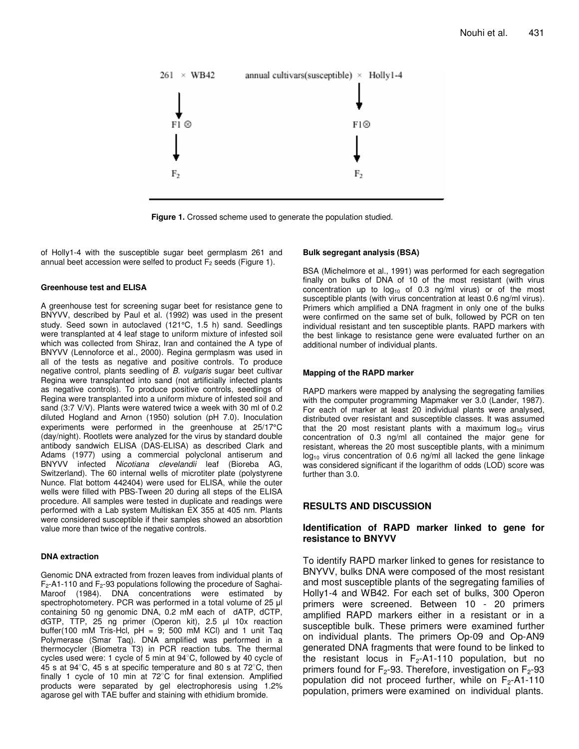

**Figure 1.** Crossed scheme used to generate the population studied.

of Holly1-4 with the susceptible sugar beet germplasm 261 and annual beet accession were selfed to product  $F_2$  seeds (Figure 1).

## **Greenhouse test and ELISA**

A greenhouse test for screening sugar beet for resistance gene to BNYVV, described by Paul et al. (1992) was used in the present study. Seed sown in autoclaved (121°C, 1.5 h) sand. Seedlings were transplanted at 4 leaf stage to uniform mixture of infested soil which was collected from Shiraz, Iran and contained the A type of BNYVV (Lennoforce et al., 2000). Regina germplasm was used in all of the tests as negative and positive controls. To produce negative control, plants seedling of *B. vulgaris* sugar beet cultivar Regina were transplanted into sand (not artificially infected plants as negative controls). To produce positive controls, seedlings of Regina were transplanted into a uniform mixture of infested soil and sand (3:7 V/V). Plants were watered twice a week with 30 ml of 0.2 diluted Hogland and Arnon (1950) solution (pH 7.0). Inoculation experiments were performed in the greenhouse at 25/17°C (day/night). Rootlets were analyzed for the virus by standard double antibody sandwich ELISA (DAS-ELISA) as described Clark and Adams (1977) using a commercial polyclonal antiserum and BNYVV infected *Nicotiana clevelandii* leaf (Bioreba AG, Switzerland). The 60 internal wells of microtiter plate (polystyrene Nunce. Flat bottom 442404) were used for ELISA, while the outer wells were filled with PBS-Tween 20 during all steps of the ELISA procedure. All samples were tested in duplicate and readings were performed with a Lab system Multiskan EX 355 at 405 nm. Plants were considered susceptible if their samples showed an absorbtion value more than twice of the negative controls.

## **DNA extraction**

Genomic DNA extracted from frozen leaves from individual plants of  $F_2$ -A1-110 and  $F_2$ -93 populations following the procedure of Saghai-Maroof (1984). DNA concentrations were estimated by spectrophotometery. PCR was performed in a total volume of 25 µl containing 50 ng genomic DNA, 0.2 mM each of dATP, dCTP, dGTP, TTP, 25 ng primer (Operon kit), 2.5 µl 10x reaction buffer(100 mM Tris-Hcl,  $pH = 9$ ; 500 mM KCl) and 1 unit Taq Polymerase (Smar Taq). DNA amplified was performed in a thermocycler (Biometra T3) in PCR reaction tubs. The thermal cycles used were: 1 cycle of 5 min at  $94^{\circ}$ C, followed by 40 cycle of 45 s at 94 $^{\circ}$ C, 45 s at specific temperature and 80 s at 72 $^{\circ}$ C, then finally 1 cycle of 10 min at 72°C for final extension. Amplified products were separated by gel electrophoresis using 1.2% agarose gel with TAE buffer and staining with ethidium bromide.

## **Bulk segregant analysis (BSA)**

BSA (Michelmore et al., 1991) was performed for each segregation finally on bulks of DNA of 10 of the most resistant (with virus concentration up to  $log_{10}$  of 0.3 ng/ml virus) or of the most susceptible plants (with virus concentration at least 0.6 ng/ml virus). Primers which amplified a DNA fragment in only one of the bulks were confirmed on the same set of bulk, followed by PCR on ten individual resistant and ten susceptible plants. RAPD markers with the best linkage to resistance gene were evaluated further on an additional number of individual plants.

## **Mapping of the RAPD marker**

RAPD markers were mapped by analysing the segregating families with the computer programming Mapmaker ver 3.0 (Lander, 1987). For each of marker at least 20 individual plants were analysed, distributed over resistant and susceptible classes. It was assumed that the 20 most resistant plants with a maximum  $log_{10}$  virus concentration of 0.3 ng/ml all contained the major gene for resistant, whereas the 20 most susceptible plants, with a minimum  $log_{10}$  virus concentration of 0.6 ng/ml all lacked the gene linkage was considered significant if the logarithm of odds (LOD) score was further than 3.0.

# **RESULTS AND DISCUSSION**

## **Identification of RAPD marker linked to gene for resistance to BNYVV**

To identify RAPD marker linked to genes for resistance to BNYVV, bulks DNA were composed of the most resistant and most susceptible plants of the segregating families of Holly1-4 and WB42. For each set of bulks, 300 Operon primers were screened. Between 10 - 20 primers amplified RAPD markers either in a resistant or in a susceptible bulk. These primers were examined further on individual plants. The primers Op-09 and Op-AN9 generated DNA fragments that were found to be linked to the resistant locus in  $F_2$ -A1-110 population, but no primers found for  $F_2$ -93. Therefore, investigation on  $F_2$ -93 population did not proceed further, while on  $F_2$ -A1-110 population, primers were examined on individual plants.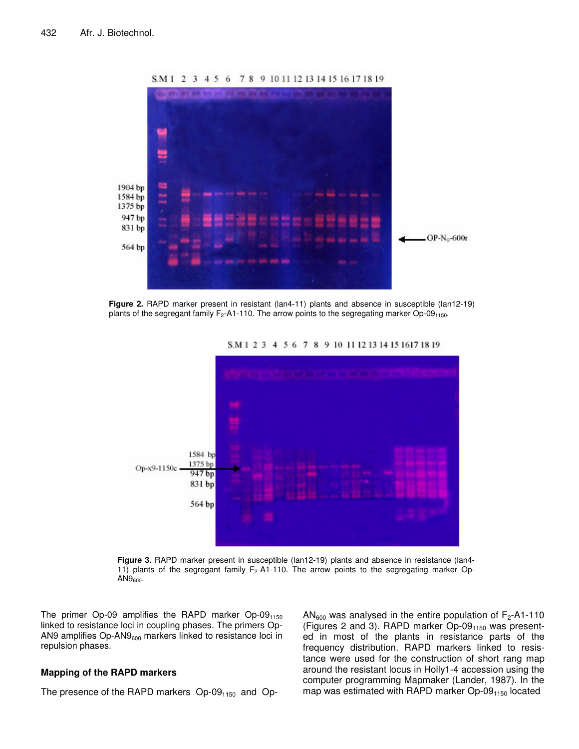

S.M 1 2 3 4 5 6 7 8 9 10 11 12 13 14 15 16 17 18 19

**Figure 2.** RAPD marker present in resistant (lan4-11) plants and absence in susceptible (lan12-19) plants of the segregant family F<sub>2</sub>-A1-110. The arrow points to the segregating marker Op-09<sub>1150</sub>.



S.M 1 2 3 4 5 6 7 8 9 10 11 12 13 14 15 1617 18 19

**Figure 3.** RAPD marker present in susceptible (lan12-19) plants and absence in resistance (lan4- 11) plants of the segregant family  $F_2$ -A1-110. The arrow points to the segregating marker Op- $AN9<sub>600</sub>$ 

The primer Op-09 amplifies the RAPD marker Op-09 $_{1150}$ linked to resistance loci in coupling phases. The primers Op-AN9 amplifies Op-AN9<sub>600</sub> markers linked to resistance loci in repulsion phases.

## **Mapping of the RAPD markers**

The presence of the RAPD markers  $Op-09<sub>1150</sub>$  and  $Op-$ 

AN<sub>600</sub> was analysed in the entire population of  $F_2$ -A1-110 (Figures 2 and 3). RAPD marker  $Op-09<sub>1150</sub>$  was presented in most of the plants in resistance parts of the frequency distribution. RAPD markers linked to resistance were used for the construction of short rang map around the resistant locus in Holly1-4 accession using the computer programming Mapmaker (Lander, 1987). In the map was estimated with RAPD marker  $Op-09<sub>1150</sub>$  located